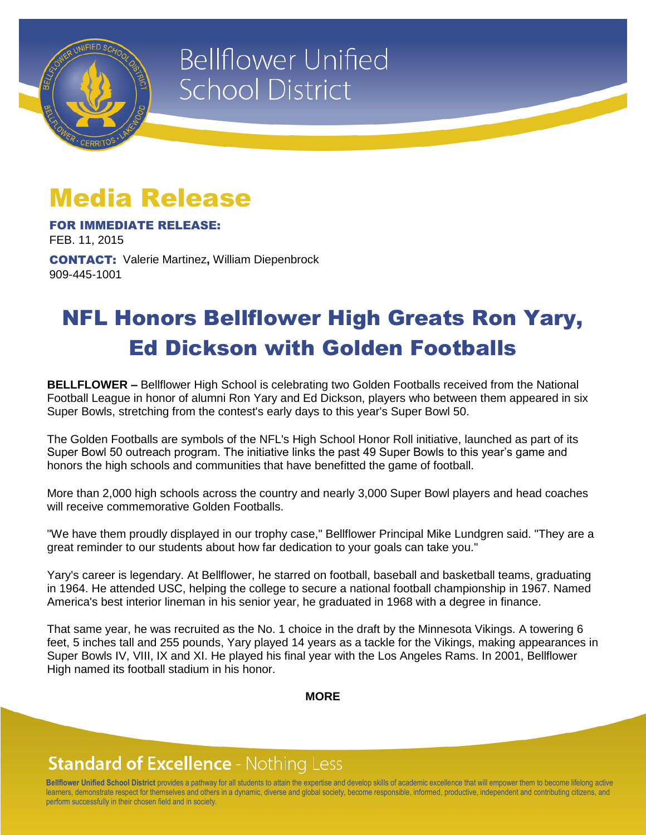

# **Bellflower Unified School District**

## Media Release

FOR IMMEDIATE RELEASE: FEB. 11, 2015

CONTACT: Valerie Martinez**,** William Diepenbrock 909-445-1001

### NFL Honors Bellflower High Greats Ron Yary, Ed Dickson with Golden Footballs

**BELLFLOWER –** Bellflower High School is celebrating two Golden Footballs received from the National Football League in honor of alumni Ron Yary and Ed Dickson, players who between them appeared in six Super Bowls, stretching from the contest's early days to this year's Super Bowl 50.

The Golden Footballs are symbols of the NFL's High School Honor Roll initiative, launched as part of its Super Bowl 50 outreach program. The initiative links the past 49 Super Bowls to this year's game and honors the high schools and communities that have benefitted the game of football.

More than 2,000 high schools across the country and nearly 3,000 Super Bowl players and head coaches will receive commemorative Golden Footballs.

"We have them proudly displayed in our trophy case," Bellflower Principal Mike Lundgren said. "They are a great reminder to our students about how far dedication to your goals can take you."

Yary's career is legendary. At Bellflower, he starred on football, baseball and basketball teams, graduating in 1964. He attended USC, helping the college to secure a national football championship in 1967. Named America's best interior lineman in his senior year, he graduated in 1968 with a degree in finance.

That same year, he was recruited as the No. 1 choice in the draft by the Minnesota Vikings. A towering 6 feet, 5 inches tall and 255 pounds, Yary played 14 years as a tackle for the Vikings, making appearances in Super Bowls IV, VIII, IX and XI. He played his final year with the Los Angeles Rams. In 2001, Bellflower High named its football stadium in his honor.

**MORE**

#### **Standard of Excellence - Nothing Less**

**Bellflower Unified School District** provides a pathway for all students to attain the expertise and develop skills of academic excellence that will empower them to become lifelong active learners, demonstrate respect for themselves and others in a dynamic, diverse and global society, become responsible, informed, productive, independent and contributing citizens, and perform successfully in their chosen field and in society.